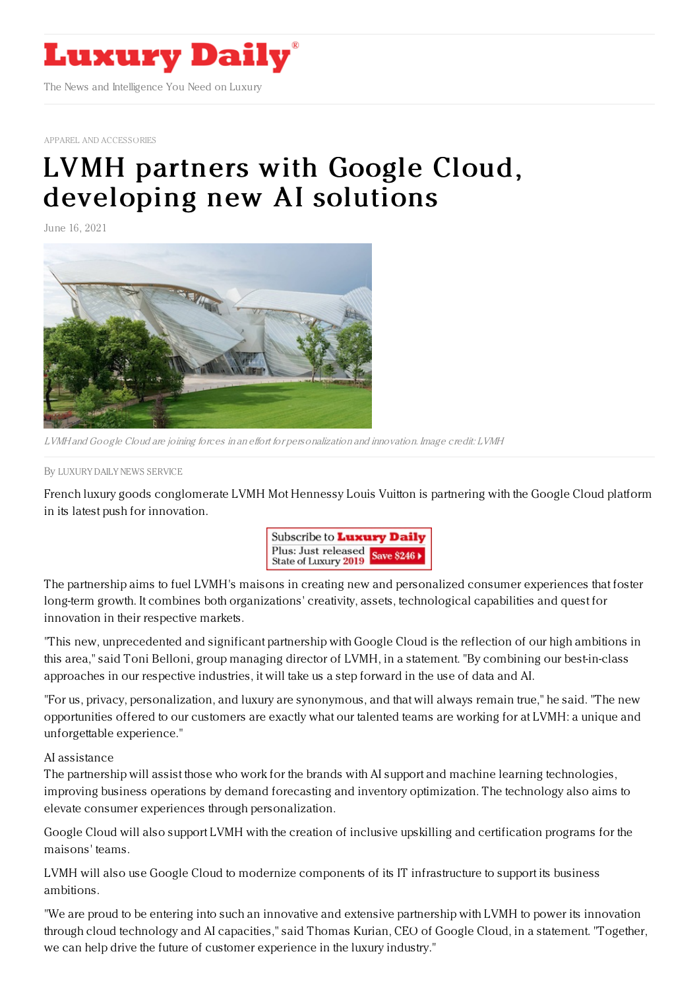

APPAREL AND [ACCESSORIES](https://www.luxurydaily.com/category/sectors/apparel-and-accessories/)

## LVMH partners with Google Cloud, [developing](https://www.luxurydaily.com/?p=331121) new AI solutions

June 16, 2021



LVMH and Google Cloud are joining forces in an effort for personalization and innovation. Image credit: LVMH

By LUXURY DAILY NEWS [SERVICE](file:///author/luxury-daily-news-service)

French luxury goods conglomerate LVMH Mot Hennessy Louis Vuitton is partnering with the Google Cloud platform in its latest push for innovation.



The partnership aims to fuel LVMH's maisons in creating new and personalized consumer experiences that foster long-term growth. It combines both organizations' creativity, assets, technological capabilities and quest for innovation in their respective markets.

"This new, unprecedented and significant partnership with Google Cloud is the reflection of our high ambitions in this area," said Toni Belloni, group managing director of LVMH, in a statement. "By combining our best-in-class approaches in our respective industries, it will take us a step forward in the use of data and AI.

"For us, privacy, personalization, and luxury are synonymous, and that will always remain true," he said. "The new opportunities offered to our customers are exactly what our talented teams are working for at LVMH: a unique and unforgettable experience."

AI assistance

The partnership will assist those who work for the brands with AI support and machine learning technologies, improving business operations by demand forecasting and inventory optimization. The technology also aims to elevate consumer experiences through personalization.

Google Cloud will also support LVMH with the creation of inclusive upskilling and certification programs for the maisons' teams.

LVMH will also use Google Cloud to modernize components of its IT infrastructure to support its business ambitions.

"We are proud to be entering into such an innovative and extensive partnership with LVMH to power its innovation through cloud technology and AI capacities," said Thomas Kurian, CEO of Google Cloud, in a statement. "Together, we can help drive the future of customer experience in the luxury industry."